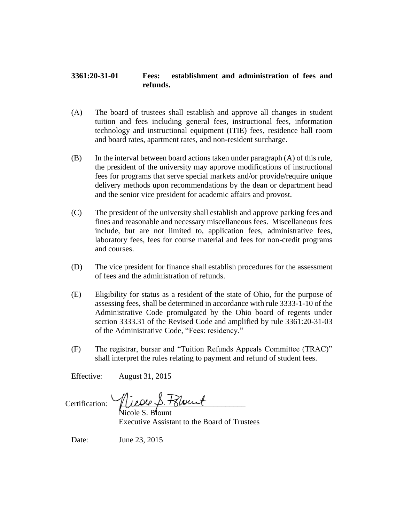## **3361:20-31-01 Fees: establishment and administration of fees and refunds.**

- (A) The board of trustees shall establish and approve all changes in student tuition and fees including general fees, instructional fees, information technology and instructional equipment (ITIE) fees, residence hall room and board rates, apartment rates, and non-resident surcharge.
- (B) In the interval between board actions taken under paragraph (A) of this rule, the president of the university may approve modifications of instructional fees for programs that serve special markets and/or provide/require unique delivery methods upon recommendations by the dean or department head and the senior vice president for academic affairs and provost.
- (C) The president of the university shall establish and approve parking fees and fines and reasonable and necessary miscellaneous fees. Miscellaneous fees include, but are not limited to, application fees, administrative fees, laboratory fees, fees for course material and fees for non-credit programs and courses.
- (D) The vice president for finance shall establish procedures for the assessment of fees and the administration of refunds.
- (E) Eligibility for status as a resident of the state of Ohio, for the purpose of assessing fees, shall be determined in accordance with rule 3333-1-10 of the Administrative Code promulgated by the Ohio board of regents under section 3333.31 of the Revised Code and amplified by rule 3361:20-31-03 of the Administrative Code, "Fees: residency."
- (F) The registrar, bursar and "Tuition Refunds Appeals Committee (TRAC)" shall interpret the rules relating to payment and refund of student fees.

Effective: August 31, 2015

Certification:  $\sqrt{u^2 + 3u^2 + 4u^2}$ 

Nicole S. Blount Executive Assistant to the Board of Trustees

Date: June 23, 2015